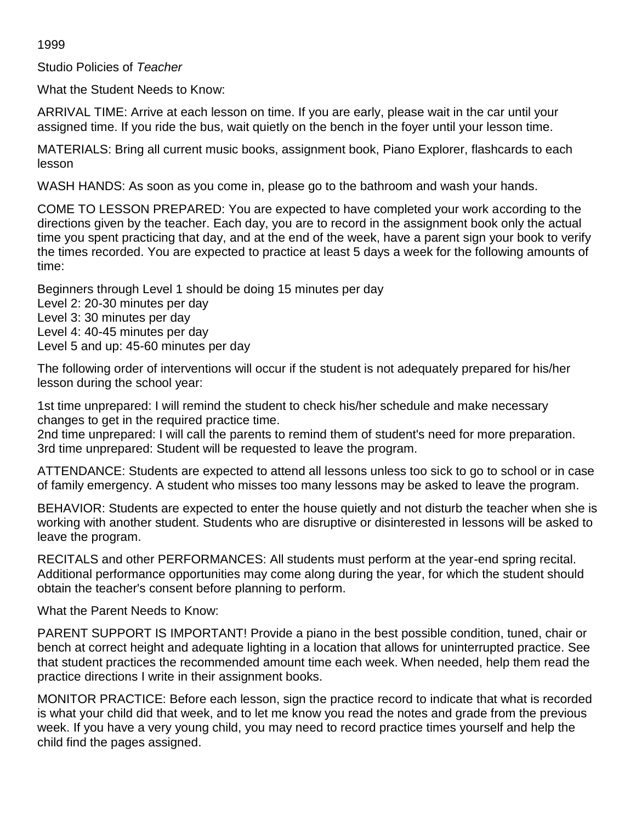1999

Studio Policies of *Teacher*

What the Student Needs to Know:

ARRIVAL TIME: Arrive at each lesson on time. If you are early, please wait in the car until your assigned time. If you ride the bus, wait quietly on the bench in the foyer until your lesson time.

MATERIALS: Bring all current music books, assignment book, Piano Explorer, flashcards to each lesson

WASH HANDS: As soon as you come in, please go to the bathroom and wash your hands.

COME TO LESSON PREPARED: You are expected to have completed your work according to the directions given by the teacher. Each day, you are to record in the assignment book only the actual time you spent practicing that day, and at the end of the week, have a parent sign your book to verify the times recorded. You are expected to practice at least 5 days a week for the following amounts of time:

Beginners through Level 1 should be doing 15 minutes per day Level 2: 20-30 minutes per day Level 3: 30 minutes per day Level 4: 40-45 minutes per day Level 5 and up: 45-60 minutes per day

The following order of interventions will occur if the student is not adequately prepared for his/her lesson during the school year:

1st time unprepared: I will remind the student to check his/her schedule and make necessary changes to get in the required practice time.

2nd time unprepared: I will call the parents to remind them of student's need for more preparation. 3rd time unprepared: Student will be requested to leave the program.

ATTENDANCE: Students are expected to attend all lessons unless too sick to go to school or in case of family emergency. A student who misses too many lessons may be asked to leave the program.

BEHAVIOR: Students are expected to enter the house quietly and not disturb the teacher when she is working with another student. Students who are disruptive or disinterested in lessons will be asked to leave the program.

RECITALS and other PERFORMANCES: All students must perform at the year-end spring recital. Additional performance opportunities may come along during the year, for which the student should obtain the teacher's consent before planning to perform.

What the Parent Needs to Know:

PARENT SUPPORT IS IMPORTANT! Provide a piano in the best possible condition, tuned, chair or bench at correct height and adequate lighting in a location that allows for uninterrupted practice. See that student practices the recommended amount time each week. When needed, help them read the practice directions I write in their assignment books.

MONITOR PRACTICE: Before each lesson, sign the practice record to indicate that what is recorded is what your child did that week, and to let me know you read the notes and grade from the previous week. If you have a very young child, you may need to record practice times yourself and help the child find the pages assigned.